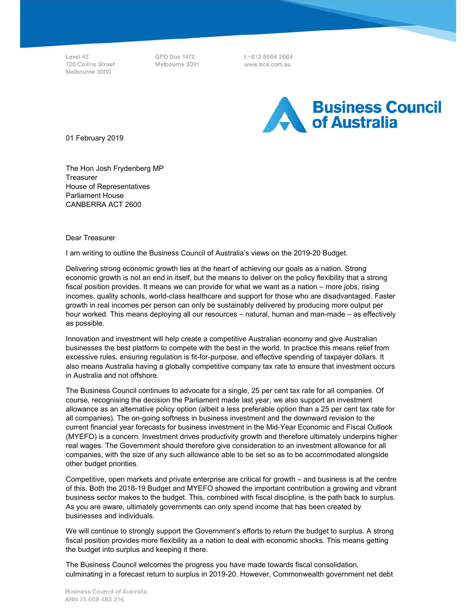Level 42 120 Collins Street Melbourne 3000

GPO Box 1472 Melbourne 3001

t+613 8664 2664 www.bca.com.au



01 February 2019

The Hon Josh Frydenberg MP **Treasurer** House of Representatives Parliament House CANBERRA ACT 2600

Dear Treasurer

I am writing to outline the Business Council of Australia's views on the 2019-20 Budget.

Delivering strong economic growth lies at the heart of achieving our goals as a nation. Strong economic growth is not an end in itself, but the means to deliver on the policy flexibility that a strong fiscal position provides. It means we can provide for what we want as a nation – more jobs, rising incomes, quality schools, world-class healthcare and support for those who are disadvantaged. Faster growth in real incomes per person can only be sustainably delivered by producing more output per hour worked. This means deploying all our resources – natural, human and man-made – as effectively as possible.

Innovation and investment will help create a competitive Australian economy and give Australian businesses the best platform to compete with the best in the world. In practice this means relief from excessive rules, ensuring regulation is fit-for-purpose, and effective spending of taxpayer dollars. It also means Australia having a globally competitive company tax rate to ensure that investment occurs in Australia and not offshore.

The Business Council continues to advocate for a single, 25 per cent tax rate for all companies. Of course, recognising the decision the Parliament made last year, we also support an investment allowance as an alternative policy option (albeit a less preferable option than a 25 per cent tax rate for all companies). The on-going softness in business investment and the downward revision to the current financial year forecasts for business investment in the Mid-Year Economic and Fiscal Outlook (MYEFO) is a concern. Investment drives productivity growth and therefore ultimately underpins higher real wages. The Government should therefore give consideration to an investment allowance for all companies, with the size of any such allowance able to be set so as to be accommodated alongside other budget priorities.

Competitive, open markets and private enterprise are critical for growth – and business is at the centre of this. Both the 2018-19 Budget and MYEFO showed the important contribution a growing and vibrant business sector makes to the budget. This, combined with fiscal discipline, is the path back to surplus. As you are aware, ultimately governments can only spend income that has been created by businesses and individuals.

We will continue to strongly support the Government's efforts to return the budget to surplus. A strong fiscal position provides more flexibility as a nation to deal with economic shocks. This means getting the budget into surplus and keeping it there.

The Business Council welcomes the progress you have made towards fiscal consolidation, culminating in a forecast return to surplus in 2019-20. However, Commonwealth government net debt